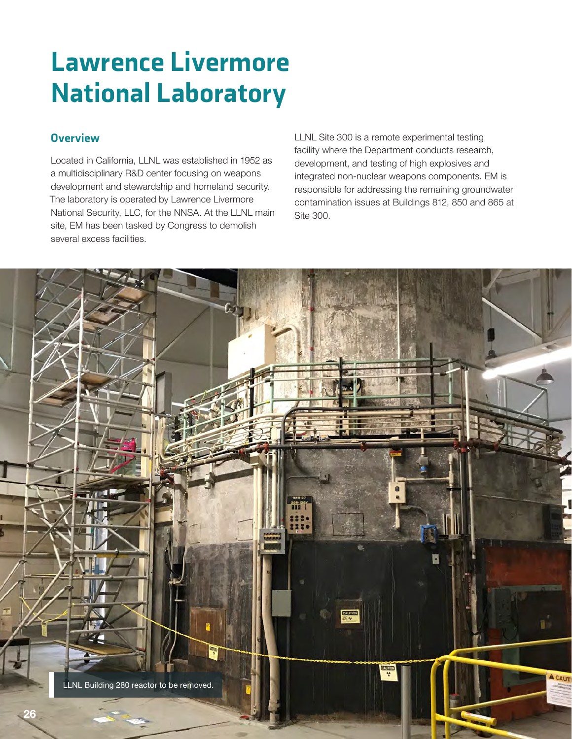# Lawrence Livermore National Laboratory

# **Overview**

Located in California, LLNL was established in 1952 as a multidisciplinary R&D center focusing on weapons development and stewardship and homeland security. The laboratory is operated by Lawrence Livermore National Security, LLC, for the NNSA. At the LLNL main site, EM has been tasked by Congress to demolish several excess facilities.

LLNL Site 300 is a remote experimental testing facility where the Department conducts research, development, and testing of high explosives and integrated non-nuclear weapons components. EM is responsible for addressing the remaining groundwater contamination issues at Buildings 812, 850 and 865 at Site 300.